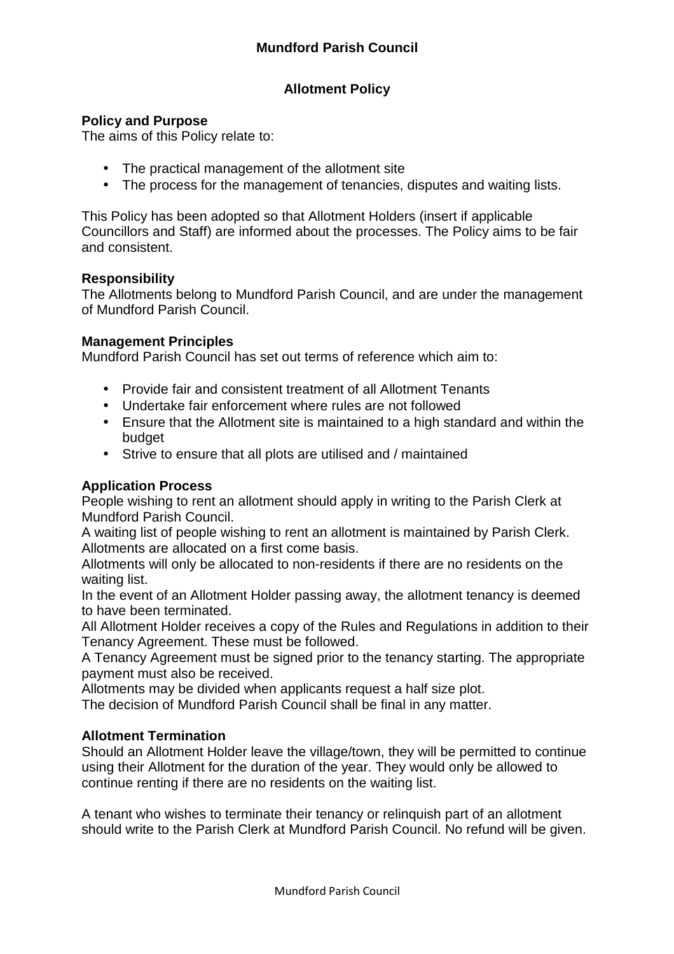## **Allotment Policy**

### **Policy and Purpose**

The aims of this Policy relate to:

- The practical management of the allotment site
- The process for the management of tenancies, disputes and waiting lists.

This Policy has been adopted so that Allotment Holders (insert if applicable Councillors and Staff) are informed about the processes. The Policy aims to be fair and consistent.

#### **Responsibility**

The Allotments belong to Mundford Parish Council, and are under the management of Mundford Parish Council.

### **Management Principles**

Mundford Parish Council has set out terms of reference which aim to:

- Provide fair and consistent treatment of all Allotment Tenants
- Undertake fair enforcement where rules are not followed
- Ensure that the Allotment site is maintained to a high standard and within the budget
- Strive to ensure that all plots are utilised and / maintained

## **Application Process**

People wishing to rent an allotment should apply in writing to the Parish Clerk at Mundford Parish Council.

A waiting list of people wishing to rent an allotment is maintained by Parish Clerk. Allotments are allocated on a first come basis.

Allotments will only be allocated to non-residents if there are no residents on the waiting list.

In the event of an Allotment Holder passing away, the allotment tenancy is deemed to have been terminated.

All Allotment Holder receives a copy of the Rules and Regulations in addition to their Tenancy Agreement. These must be followed.

A Tenancy Agreement must be signed prior to the tenancy starting. The appropriate payment must also be received.

Allotments may be divided when applicants request a half size plot.

The decision of Mundford Parish Council shall be final in any matter.

#### **Allotment Termination**

Should an Allotment Holder leave the village/town, they will be permitted to continue using their Allotment for the duration of the year. They would only be allowed to continue renting if there are no residents on the waiting list.

A tenant who wishes to terminate their tenancy or relinquish part of an allotment should write to the Parish Clerk at Mundford Parish Council. No refund will be given.